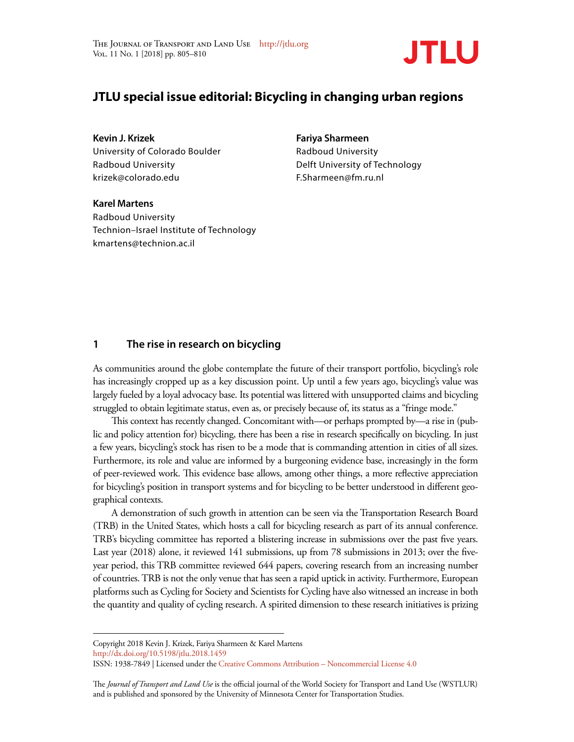

# **JTLU special issue editorial: Bicycling in changing urban regions**

**Kevin J. Krizek**  University of Colorado Boulder Radboud University krizek@colorado.edu

**Fariya Sharmeen** Radboud University Delft University of Technology F.Sharmeen@fm.ru.nl

**Karel Martens**  Radboud University Technion–Israel Institute of Technology kmartens@technion.ac.il

### **1 The rise in research on bicycling**

As communities around the globe contemplate the future of their transport portfolio, bicycling's role has increasingly cropped up as a key discussion point. Up until a few years ago, bicycling's value was largely fueled by a loyal advocacy base. Its potential was littered with unsupported claims and bicycling struggled to obtain legitimate status, even as, or precisely because of, its status as a "fringe mode."

This context has recently changed. Concomitant with—or perhaps prompted by—a rise in (public and policy attention for) bicycling, there has been a rise in research specifically on bicycling. In just a few years, bicycling's stock has risen to be a mode that is commanding attention in cities of all sizes. Furthermore, its role and value are informed by a burgeoning evidence base, increasingly in the form of peer-reviewed work. This evidence base allows, among other things, a more reflective appreciation for bicycling's position in transport systems and for bicycling to be better understood in different geographical contexts.

A demonstration of such growth in attention can be seen via the Transportation Research Board (TRB) in the United States, which hosts a call for bicycling research as part of its annual conference. TRB's bicycling committee has reported a blistering increase in submissions over the past five years. Last year (2018) alone, it reviewed 141 submissions, up from 78 submissions in 2013; over the fiveyear period, this TRB committee reviewed 644 papers, covering research from an increasing number of countries. TRB is not the only venue that has seen a rapid uptick in activity. Furthermore, European platforms such as Cycling for Society and Scientists for Cycling have also witnessed an increase in both the quantity and quality of cycling research. A spirited dimension to these research initiatives is prizing

Copyright 2018 Kevin J. Krizek, Fariya Sharmeen & Karel Martens http://dx.doi.org/10.5198/jtlu.2018.1459

ISSN: 1938-7849 | Licensed under the Creative Commons Attribution – Noncommercial License 4.0

The *Journal of Transport and Land Use* is the official journal of the World Society for Transport and Land Use (WSTLUR) and is published and sponsored by the University of Minnesota Center for Transportation Studies.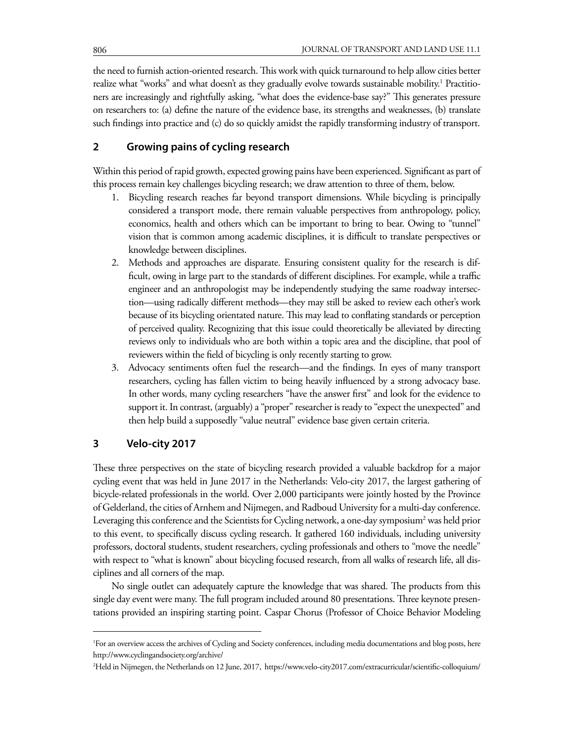the need to furnish action-oriented research. This work with quick turnaround to help allow cities better realize what "works" and what doesn't as they gradually evolve towards sustainable mobility.<sup>1</sup> Practitioners are increasingly and rightfully asking, "what does the evidence-base say?" This generates pressure on researchers to: (a) define the nature of the evidence base, its strengths and weaknesses, (b) translate such findings into practice and (c) do so quickly amidst the rapidly transforming industry of transport.

## **2 Growing pains of cycling research**

Within this period of rapid growth, expected growing pains have been experienced. Significant as part of this process remain key challenges bicycling research; we draw attention to three of them, below.

- 1. Bicycling research reaches far beyond transport dimensions. While bicycling is principally considered a transport mode, there remain valuable perspectives from anthropology, policy, economics, health and others which can be important to bring to bear. Owing to "tunnel" vision that is common among academic disciplines, it is difficult to translate perspectives or knowledge between disciplines.
- 2. Methods and approaches are disparate. Ensuring consistent quality for the research is difficult, owing in large part to the standards of different disciplines. For example, while a traffic engineer and an anthropologist may be independently studying the same roadway intersection—using radically different methods—they may still be asked to review each other's work because of its bicycling orientated nature. This may lead to conflating standards or perception of perceived quality. Recognizing that this issue could theoretically be alleviated by directing reviews only to individuals who are both within a topic area and the discipline, that pool of reviewers within the field of bicycling is only recently starting to grow.
- 3. Advocacy sentiments often fuel the research—and the findings. In eyes of many transport researchers, cycling has fallen victim to being heavily influenced by a strong advocacy base. In other words, many cycling researchers "have the answer first" and look for the evidence to support it. In contrast, (arguably) a "proper" researcher is ready to "expect the unexpected" and then help build a supposedly "value neutral" evidence base given certain criteria.

### **3 Velo-city 2017**

These three perspectives on the state of bicycling research provided a valuable backdrop for a major cycling event that was held in June 2017 in the Netherlands: Velo-city 2017, the largest gathering of bicycle-related professionals in the world. Over 2,000 participants were jointly hosted by the Province of Gelderland, the cities of Arnhem and Nijmegen, and Radboud University for a multi-day conference. Leveraging this conference and the Scientists for Cycling network, a one-day symposium<sup>2</sup> was held prior to this event, to specifically discuss cycling research. It gathered 160 individuals, including university professors, doctoral students, student researchers, cycling professionals and others to "move the needle" with respect to "what is known" about bicycling focused research, from all walks of research life, all disciplines and all corners of the map.

No single outlet can adequately capture the knowledge that was shared. The products from this single day event were many. The full program included around 80 presentations. Three keynote presentations provided an inspiring starting point. Caspar Chorus (Professor of Choice Behavior Modeling

<sup>1</sup> For an overview access the archives of Cycling and Society conferences, including media documentations and blog posts, here http://www.cyclingandsociety.org/archive/

<sup>2</sup> Held in Nijmegen, the Netherlands on 12 June, 2017, https://www.velo-city2017.com/extracurricular/scientific-colloquium/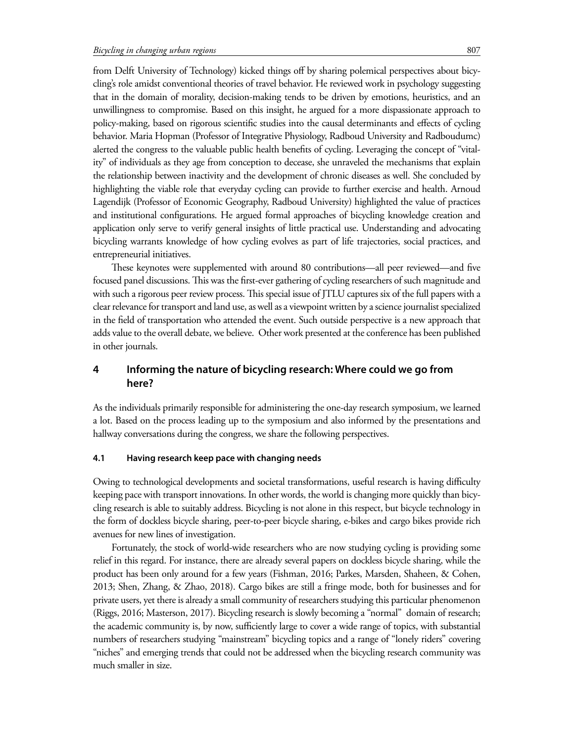from Delft University of Technology) kicked things off by sharing polemical perspectives about bicycling's role amidst conventional theories of travel behavior. He reviewed work in psychology suggesting that in the domain of morality, decision-making tends to be driven by emotions, heuristics, and an unwillingness to compromise. Based on this insight, he argued for a more dispassionate approach to policy-making, based on rigorous scientific studies into the causal determinants and effects of cycling behavior. Maria Hopman (Professor of Integrative Physiology, Radboud University and Radboudumc) alerted the congress to the valuable public health benefits of cycling. Leveraging the concept of "vitality" of individuals as they age from conception to decease, she unraveled the mechanisms that explain the relationship between inactivity and the development of chronic diseases as well. She concluded by highlighting the viable role that everyday cycling can provide to further exercise and health. Arnoud Lagendijk (Professor of Economic Geography, Radboud University) highlighted the value of practices and institutional configurations. He argued formal approaches of bicycling knowledge creation and application only serve to verify general insights of little practical use. Understanding and advocating bicycling warrants knowledge of how cycling evolves as part of life trajectories, social practices, and entrepreneurial initiatives.

These keynotes were supplemented with around 80 contributions—all peer reviewed—and five focused panel discussions. This was the first-ever gathering of cycling researchers of such magnitude and with such a rigorous peer review process. This special issue of JTLU captures six of the full papers with a clear relevance for transport and land use, as well as a viewpoint written by a science journalist specialized in the field of transportation who attended the event. Such outside perspective is a new approach that adds value to the overall debate, we believe. Other work presented at the conference has been published in other journals.

# **4 Informing the nature of bicycling research: Where could we go from here?**

As the individuals primarily responsible for administering the one-day research symposium, we learned a lot. Based on the process leading up to the symposium and also informed by the presentations and hallway conversations during the congress, we share the following perspectives.

### **4.1 Having research keep pace with changing needs**

Owing to technological developments and societal transformations, useful research is having difficulty keeping pace with transport innovations. In other words, the world is changing more quickly than bicycling research is able to suitably address. Bicycling is not alone in this respect, but bicycle technology in the form of dockless bicycle sharing, peer-to-peer bicycle sharing, e-bikes and cargo bikes provide rich avenues for new lines of investigation.

Fortunately, the stock of world-wide researchers who are now studying cycling is providing some relief in this regard. For instance, there are already several papers on dockless bicycle sharing, while the product has been only around for a few years (Fishman, 2016; Parkes, Marsden, Shaheen, & Cohen, 2013; Shen, Zhang, & Zhao, 2018). Cargo bikes are still a fringe mode, both for businesses and for private users, yet there is already a small community of researchers studying this particular phenomenon (Riggs, 2016; Masterson, 2017). Bicycling research is slowly becoming a "normal" domain of research; the academic community is, by now, sufficiently large to cover a wide range of topics, with substantial numbers of researchers studying "mainstream" bicycling topics and a range of "lonely riders" covering "niches" and emerging trends that could not be addressed when the bicycling research community was much smaller in size.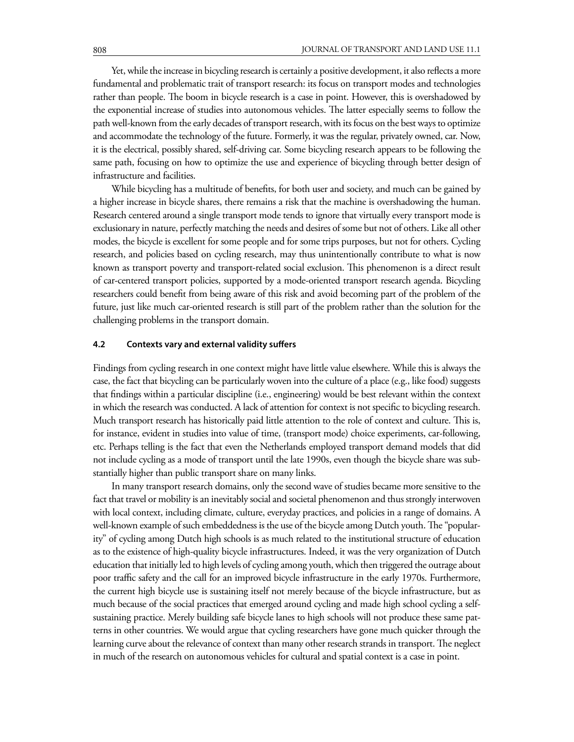Yet, while the increase in bicycling research is certainly a positive development, it also reflects a more fundamental and problematic trait of transport research: its focus on transport modes and technologies rather than people. The boom in bicycle research is a case in point. However, this is overshadowed by the exponential increase of studies into autonomous vehicles. The latter especially seems to follow the path well-known from the early decades of transport research, with its focus on the best ways to optimize and accommodate the technology of the future. Formerly, it was the regular, privately owned, car. Now, it is the electrical, possibly shared, self-driving car. Some bicycling research appears to be following the same path, focusing on how to optimize the use and experience of bicycling through better design of infrastructure and facilities.

While bicycling has a multitude of benefits, for both user and society, and much can be gained by a higher increase in bicycle shares, there remains a risk that the machine is overshadowing the human. Research centered around a single transport mode tends to ignore that virtually every transport mode is exclusionary in nature, perfectly matching the needs and desires of some but not of others. Like all other modes, the bicycle is excellent for some people and for some trips purposes, but not for others. Cycling research, and policies based on cycling research, may thus unintentionally contribute to what is now known as transport poverty and transport-related social exclusion. This phenomenon is a direct result of car-centered transport policies, supported by a mode-oriented transport research agenda. Bicycling researchers could benefit from being aware of this risk and avoid becoming part of the problem of the future, just like much car-oriented research is still part of the problem rather than the solution for the challenging problems in the transport domain.

#### **4.2 Contexts vary and external validity suffers**

Findings from cycling research in one context might have little value elsewhere. While this is always the case, the fact that bicycling can be particularly woven into the culture of a place (e.g., like food) suggests that findings within a particular discipline (i.e., engineering) would be best relevant within the context in which the research was conducted. A lack of attention for context is not specific to bicycling research. Much transport research has historically paid little attention to the role of context and culture. This is, for instance, evident in studies into value of time, (transport mode) choice experiments, car-following, etc. Perhaps telling is the fact that even the Netherlands employed transport demand models that did not include cycling as a mode of transport until the late 1990s, even though the bicycle share was substantially higher than public transport share on many links.

In many transport research domains, only the second wave of studies became more sensitive to the fact that travel or mobility is an inevitably social and societal phenomenon and thus strongly interwoven with local context, including climate, culture, everyday practices, and policies in a range of domains. A well-known example of such embeddedness is the use of the bicycle among Dutch youth. The "popularity" of cycling among Dutch high schools is as much related to the institutional structure of education as to the existence of high-quality bicycle infrastructures. Indeed, it was the very organization of Dutch education that initially led to high levels of cycling among youth, which then triggered the outrage about poor traffic safety and the call for an improved bicycle infrastructure in the early 1970s. Furthermore, the current high bicycle use is sustaining itself not merely because of the bicycle infrastructure, but as much because of the social practices that emerged around cycling and made high school cycling a selfsustaining practice. Merely building safe bicycle lanes to high schools will not produce these same patterns in other countries. We would argue that cycling researchers have gone much quicker through the learning curve about the relevance of context than many other research strands in transport. The neglect in much of the research on autonomous vehicles for cultural and spatial context is a case in point.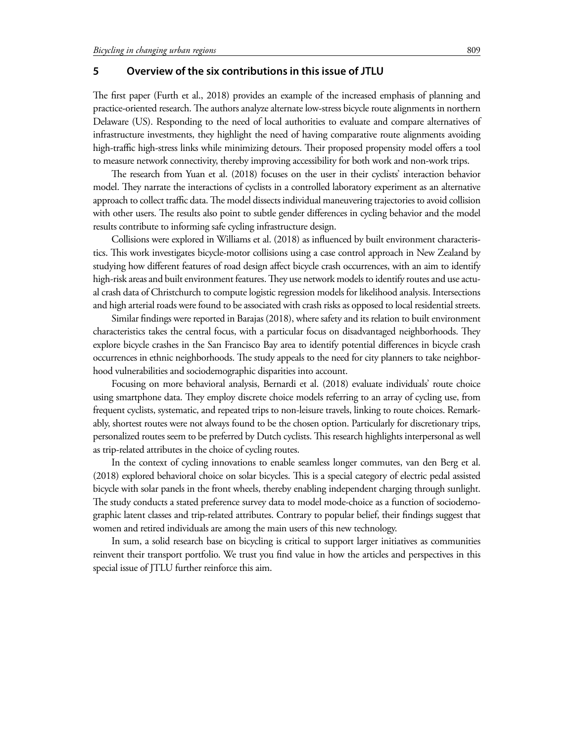### **5 Overview of the six contributions in this issue of JTLU**

The first paper (Furth et al., 2018) provides an example of the increased emphasis of planning and practice-oriented research. The authors analyze alternate low-stress bicycle route alignments in northern Delaware (US). Responding to the need of local authorities to evaluate and compare alternatives of infrastructure investments, they highlight the need of having comparative route alignments avoiding high-traffic high-stress links while minimizing detours. Their proposed propensity model offers a tool to measure network connectivity, thereby improving accessibility for both work and non-work trips.

The research from Yuan et al. (2018) focuses on the user in their cyclists' interaction behavior model. They narrate the interactions of cyclists in a controlled laboratory experiment as an alternative approach to collect traffic data. The model dissects individual maneuvering trajectories to avoid collision with other users. The results also point to subtle gender differences in cycling behavior and the model results contribute to informing safe cycling infrastructure design.

Collisions were explored in Williams et al. (2018) as influenced by built environment characteristics. This work investigates bicycle-motor collisions using a case control approach in New Zealand by studying how different features of road design affect bicycle crash occurrences, with an aim to identify high-risk areas and built environment features. They use network models to identify routes and use actual crash data of Christchurch to compute logistic regression models for likelihood analysis. Intersections and high arterial roads were found to be associated with crash risks as opposed to local residential streets.

Similar findings were reported in Barajas (2018), where safety and its relation to built environment characteristics takes the central focus, with a particular focus on disadvantaged neighborhoods. They explore bicycle crashes in the San Francisco Bay area to identify potential differences in bicycle crash occurrences in ethnic neighborhoods. The study appeals to the need for city planners to take neighborhood vulnerabilities and sociodemographic disparities into account.

Focusing on more behavioral analysis, Bernardi et al. (2018) evaluate individuals' route choice using smartphone data. They employ discrete choice models referring to an array of cycling use, from frequent cyclists, systematic, and repeated trips to non-leisure travels, linking to route choices. Remarkably, shortest routes were not always found to be the chosen option. Particularly for discretionary trips, personalized routes seem to be preferred by Dutch cyclists. This research highlights interpersonal as well as trip-related attributes in the choice of cycling routes.

In the context of cycling innovations to enable seamless longer commutes, van den Berg et al. (2018) explored behavioral choice on solar bicycles. This is a special category of electric pedal assisted bicycle with solar panels in the front wheels, thereby enabling independent charging through sunlight. The study conducts a stated preference survey data to model mode-choice as a function of sociodemographic latent classes and trip-related attributes. Contrary to popular belief, their findings suggest that women and retired individuals are among the main users of this new technology.

In sum, a solid research base on bicycling is critical to support larger initiatives as communities reinvent their transport portfolio. We trust you find value in how the articles and perspectives in this special issue of JTLU further reinforce this aim.